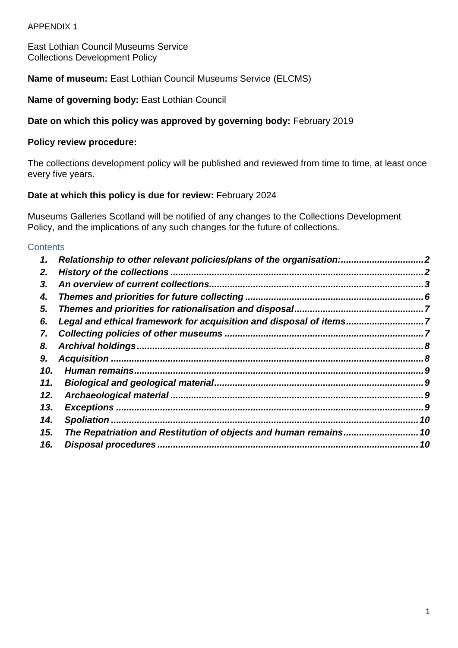#### APPENDIX 1

East Lothian Council Museums Service Collections Development Policy

**Name of museum:** East Lothian Council Museums Service (ELCMS)

**Name of governing body:** East Lothian Council

### **Date on which this policy was approved by governing body:** February 2019

#### **Policy review procedure:**

The collections development policy will be published and reviewed from time to time, at least once every five years.

#### **Date at which this policy is due for review:** February 2024

Museums Galleries Scotland will be notified of any changes to the Collections Development Policy, and the implications of any such changes for the future of collections.

#### **Contents**

| 1.  | Relationship to other relevant policies/plans of the organisation:. |    |
|-----|---------------------------------------------------------------------|----|
| 2.  |                                                                     |    |
| 3.  |                                                                     |    |
| 4.  |                                                                     |    |
| 5.  |                                                                     |    |
| 6.  | Legal and ethical framework for acquisition and disposal of items7  |    |
| 7.  |                                                                     |    |
| 8.  |                                                                     |    |
| 9.  |                                                                     |    |
| 10. |                                                                     | 9  |
| 11. |                                                                     |    |
| 12. |                                                                     | 9  |
| 13. |                                                                     |    |
| 14. |                                                                     | 10 |
| 15. | The Repatriation and Restitution of objects and human remains 10    |    |
| 16. | Disposal procedures.                                                |    |
|     |                                                                     |    |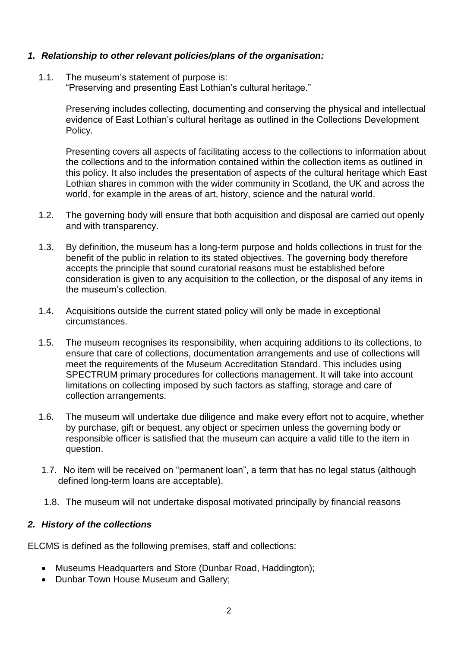### <span id="page-1-0"></span>*1. Relationship to other relevant policies/plans of the organisation:*

1.1. The museum's statement of purpose is: "Preserving and presenting East Lothian's cultural heritage."

> Preserving includes collecting, documenting and conserving the physical and intellectual evidence of East Lothian's cultural heritage as outlined in the Collections Development Policy.

> Presenting covers all aspects of facilitating access to the collections to information about the collections and to the information contained within the collection items as outlined in this policy. It also includes the presentation of aspects of the cultural heritage which East Lothian shares in common with the wider community in Scotland, the UK and across the world, for example in the areas of art, history, science and the natural world.

- 1.2. The governing body will ensure that both acquisition and disposal are carried out openly and with transparency.
- 1.3. By definition, the museum has a long-term purpose and holds collections in trust for the benefit of the public in relation to its stated objectives. The governing body therefore accepts the principle that sound curatorial reasons must be established before consideration is given to any acquisition to the collection, or the disposal of any items in the museum's collection.
- 1.4. Acquisitions outside the current stated policy will only be made in exceptional circumstances.
- 1.5. The museum recognises its responsibility, when acquiring additions to its collections, to ensure that care of collections, documentation arrangements and use of collections will meet the requirements of the Museum Accreditation Standard. This includes using SPECTRUM primary procedures for collections management. It will take into account limitations on collecting imposed by such factors as staffing, storage and care of collection arrangements.
- 1.6. The museum will undertake due diligence and make every effort not to acquire, whether by purchase, gift or bequest, any object or specimen unless the governing body or responsible officer is satisfied that the museum can acquire a valid title to the item in question.
- 1.7. No item will be received on "permanent loan", a term that has no legal status (although defined long-term loans are acceptable).
- 1.8. The museum will not undertake disposal motivated principally by financial reasons

# <span id="page-1-1"></span>*2. History of the collections*

ELCMS is defined as the following premises, staff and collections:

- Museums Headquarters and Store (Dunbar Road, Haddington);
- Dunbar Town House Museum and Gallery;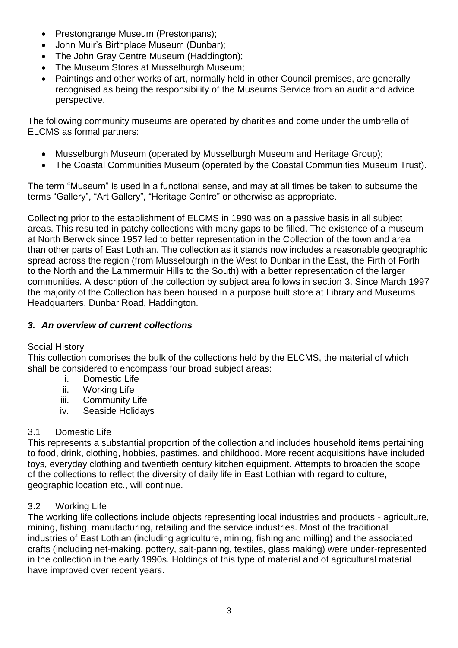- Prestongrange Museum (Prestonpans);
- John Muir's Birthplace Museum (Dunbar);
- The John Gray Centre Museum (Haddington):
- The Museum Stores at Musselburgh Museum;
- Paintings and other works of art, normally held in other Council premises, are generally recognised as being the responsibility of the Museums Service from an audit and advice perspective.

The following community museums are operated by charities and come under the umbrella of ELCMS as formal partners:

- Musselburgh Museum (operated by Musselburgh Museum and Heritage Group);
- The Coastal Communities Museum (operated by the Coastal Communities Museum Trust).

The term "Museum" is used in a functional sense, and may at all times be taken to subsume the terms "Gallery", "Art Gallery", "Heritage Centre" or otherwise as appropriate.

Collecting prior to the establishment of ELCMS in 1990 was on a passive basis in all subject areas. This resulted in patchy collections with many gaps to be filled. The existence of a museum at North Berwick since 1957 led to better representation in the Collection of the town and area than other parts of East Lothian. The collection as it stands now includes a reasonable geographic spread across the region (from Musselburgh in the West to Dunbar in the East, the Firth of Forth to the North and the Lammermuir Hills to the South) with a better representation of the larger communities. A description of the collection by subject area follows in section 3. Since March 1997 the majority of the Collection has been housed in a purpose built store at Library and Museums Headquarters, Dunbar Road, Haddington.

# <span id="page-2-0"></span>*3. An overview of current collections*

# Social History

This collection comprises the bulk of the collections held by the ELCMS, the material of which shall be considered to encompass four broad subject areas:

- i. Domestic Life
- ii. Working Life
- iii. Community Life
- iv. Seaside Holidays

# 3.1 Domestic Life

This represents a substantial proportion of the collection and includes household items pertaining to food, drink, clothing, hobbies, pastimes, and childhood. More recent acquisitions have included toys, everyday clothing and twentieth century kitchen equipment. Attempts to broaden the scope of the collections to reflect the diversity of daily life in East Lothian with regard to culture, geographic location etc., will continue.

# 3.2 Working Life

The working life collections include objects representing local industries and products - agriculture, mining, fishing, manufacturing, retailing and the service industries. Most of the traditional industries of East Lothian (including agriculture, mining, fishing and milling) and the associated crafts (including net-making, pottery, salt-panning, textiles, glass making) were under-represented in the collection in the early 1990s. Holdings of this type of material and of agricultural material have improved over recent years.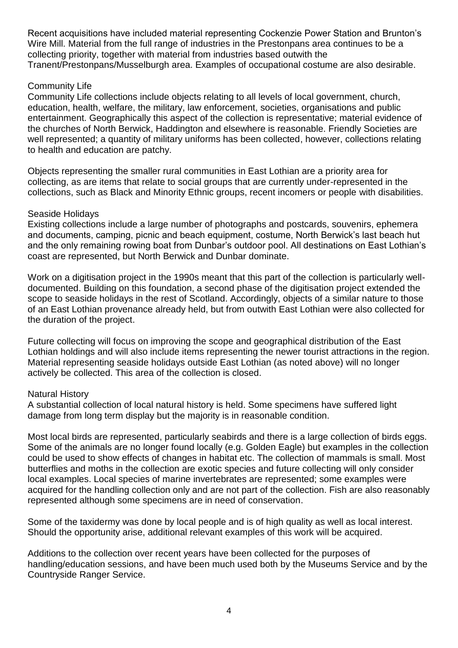Recent acquisitions have included material representing Cockenzie Power Station and Brunton's Wire Mill. Material from the full range of industries in the Prestonpans area continues to be a collecting priority, together with material from industries based outwith the Tranent/Prestonpans/Musselburgh area. Examples of occupational costume are also desirable.

### Community Life

Community Life collections include objects relating to all levels of local government, church, education, health, welfare, the military, law enforcement, societies, organisations and public entertainment. Geographically this aspect of the collection is representative; material evidence of the churches of North Berwick, Haddington and elsewhere is reasonable. Friendly Societies are well represented; a quantity of military uniforms has been collected, however, collections relating to health and education are patchy.

Objects representing the smaller rural communities in East Lothian are a priority area for collecting, as are items that relate to social groups that are currently under-represented in the collections, such as Black and Minority Ethnic groups, recent incomers or people with disabilities.

#### Seaside Holidays

Existing collections include a large number of photographs and postcards, souvenirs, ephemera and documents, camping, picnic and beach equipment, costume, North Berwick's last beach hut and the only remaining rowing boat from Dunbar's outdoor pool. All destinations on East Lothian's coast are represented, but North Berwick and Dunbar dominate.

Work on a digitisation project in the 1990s meant that this part of the collection is particularly welldocumented. Building on this foundation, a second phase of the digitisation project extended the scope to seaside holidays in the rest of Scotland. Accordingly, objects of a similar nature to those of an East Lothian provenance already held, but from outwith East Lothian were also collected for the duration of the project.

Future collecting will focus on improving the scope and geographical distribution of the East Lothian holdings and will also include items representing the newer tourist attractions in the region. Material representing seaside holidays outside East Lothian (as noted above) will no longer actively be collected. This area of the collection is closed.

#### Natural History

A substantial collection of local natural history is held. Some specimens have suffered light damage from long term display but the majority is in reasonable condition.

Most local birds are represented, particularly seabirds and there is a large collection of birds eggs. Some of the animals are no longer found locally (e.g. Golden Eagle) but examples in the collection could be used to show effects of changes in habitat etc. The collection of mammals is small. Most butterflies and moths in the collection are exotic species and future collecting will only consider local examples. Local species of marine invertebrates are represented; some examples were acquired for the handling collection only and are not part of the collection. Fish are also reasonably represented although some specimens are in need of conservation.

Some of the taxidermy was done by local people and is of high quality as well as local interest. Should the opportunity arise, additional relevant examples of this work will be acquired.

Additions to the collection over recent years have been collected for the purposes of handling/education sessions, and have been much used both by the Museums Service and by the Countryside Ranger Service.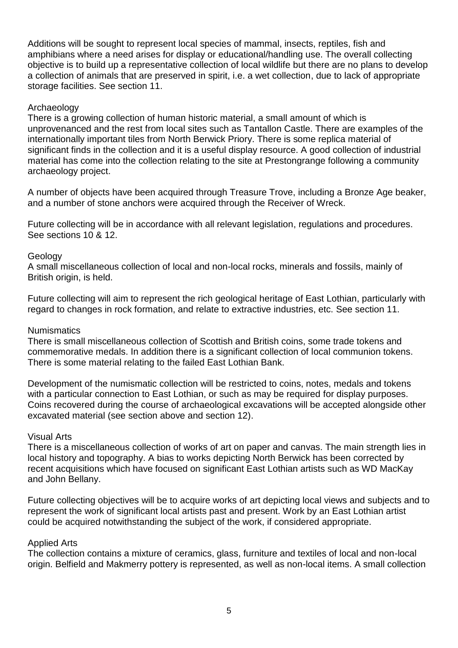Additions will be sought to represent local species of mammal, insects, reptiles, fish and amphibians where a need arises for display or educational/handling use. The overall collecting objective is to build up a representative collection of local wildlife but there are no plans to develop a collection of animals that are preserved in spirit, i.e. a wet collection, due to lack of appropriate storage facilities. See section 11.

#### Archaeology

There is a growing collection of human historic material, a small amount of which is unprovenanced and the rest from local sites such as Tantallon Castle. There are examples of the internationally important tiles from North Berwick Priory. There is some replica material of significant finds in the collection and it is a useful display resource. A good collection of industrial material has come into the collection relating to the site at Prestongrange following a community archaeology project.

A number of objects have been acquired through Treasure Trove, including a Bronze Age beaker, and a number of stone anchors were acquired through the Receiver of Wreck.

Future collecting will be in accordance with all relevant legislation, regulations and procedures. See sections 10 & 12.

### Geology

A small miscellaneous collection of local and non-local rocks, minerals and fossils, mainly of British origin, is held.

Future collecting will aim to represent the rich geological heritage of East Lothian, particularly with regard to changes in rock formation, and relate to extractive industries, etc. See section 11.

#### **Numismatics**

There is small miscellaneous collection of Scottish and British coins, some trade tokens and commemorative medals. In addition there is a significant collection of local communion tokens. There is some material relating to the failed East Lothian Bank.

Development of the numismatic collection will be restricted to coins, notes, medals and tokens with a particular connection to East Lothian, or such as may be required for display purposes. Coins recovered during the course of archaeological excavations will be accepted alongside other excavated material (see section above and section 12).

#### Visual Arts

There is a miscellaneous collection of works of art on paper and canvas. The main strength lies in local history and topography. A bias to works depicting North Berwick has been corrected by recent acquisitions which have focused on significant East Lothian artists such as WD MacKay and John Bellany.

Future collecting objectives will be to acquire works of art depicting local views and subjects and to represent the work of significant local artists past and present. Work by an East Lothian artist could be acquired notwithstanding the subject of the work, if considered appropriate.

#### Applied Arts

The collection contains a mixture of ceramics, glass, furniture and textiles of local and non-local origin. Belfield and Makmerry pottery is represented, as well as non-local items. A small collection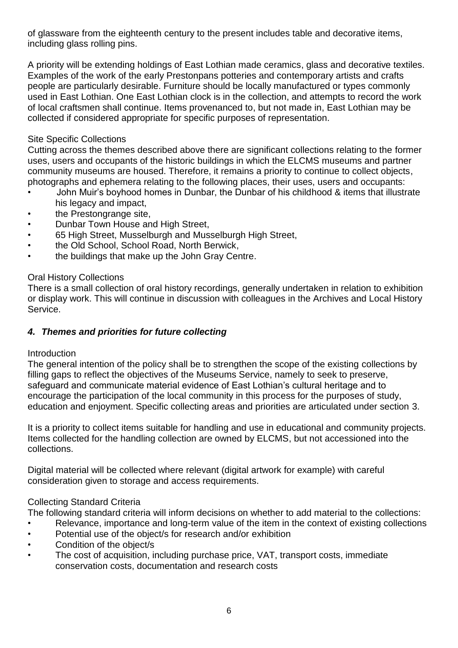of glassware from the eighteenth century to the present includes table and decorative items, including glass rolling pins.

A priority will be extending holdings of East Lothian made ceramics, glass and decorative textiles. Examples of the work of the early Prestonpans potteries and contemporary artists and crafts people are particularly desirable. Furniture should be locally manufactured or types commonly used in East Lothian. One East Lothian clock is in the collection, and attempts to record the work of local craftsmen shall continue. Items provenanced to, but not made in, East Lothian may be collected if considered appropriate for specific purposes of representation.

# Site Specific Collections

Cutting across the themes described above there are significant collections relating to the former uses, users and occupants of the historic buildings in which the ELCMS museums and partner community museums are housed. Therefore, it remains a priority to continue to collect objects, photographs and ephemera relating to the following places, their uses, users and occupants:

- John Muir's boyhood homes in Dunbar, the Dunbar of his childhood & items that illustrate his legacy and impact,
- the Prestongrange site,
- Dunbar Town House and High Street,
- 65 High Street, Musselburgh and Musselburgh High Street,
- the Old School, School Road, North Berwick,
- the buildings that make up the John Gray Centre.

# Oral History Collections

There is a small collection of oral history recordings, generally undertaken in relation to exhibition or display work. This will continue in discussion with colleagues in the Archives and Local History Service.

# <span id="page-5-0"></span>*4. Themes and priorities for future collecting*

# Introduction

The general intention of the policy shall be to strengthen the scope of the existing collections by filling gaps to reflect the objectives of the Museums Service, namely to seek to preserve, safeguard and communicate material evidence of East Lothian's cultural heritage and to encourage the participation of the local community in this process for the purposes of study, education and enjoyment. Specific collecting areas and priorities are articulated under section 3.

It is a priority to collect items suitable for handling and use in educational and community projects. Items collected for the handling collection are owned by ELCMS, but not accessioned into the collections.

Digital material will be collected where relevant (digital artwork for example) with careful consideration given to storage and access requirements.

# Collecting Standard Criteria

The following standard criteria will inform decisions on whether to add material to the collections:

- Relevance, importance and long-term value of the item in the context of existing collections
- Potential use of the object/s for research and/or exhibition
- Condition of the object/s
- The cost of acquisition, including purchase price, VAT, transport costs, immediate conservation costs, documentation and research costs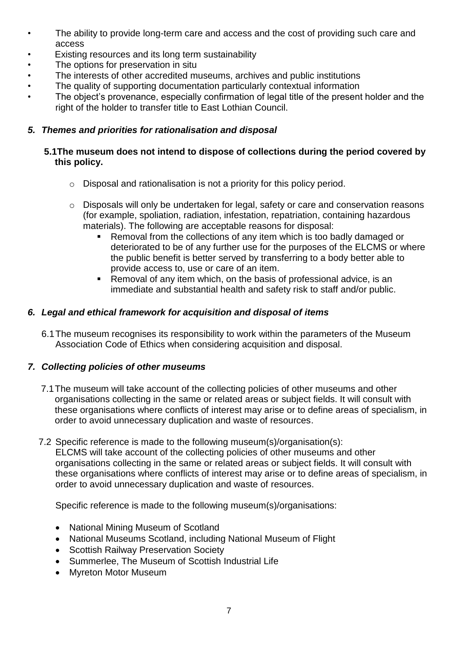- The ability to provide long-term care and access and the cost of providing such care and access
- Existing resources and its long term sustainability
- The options for preservation in situ
- The interests of other accredited museums, archives and public institutions
- The quality of supporting documentation particularly contextual information
- The object's provenance, especially confirmation of legal title of the present holder and the right of the holder to transfer title to East Lothian Council.

# <span id="page-6-0"></span>*5. Themes and priorities for rationalisation and disposal*

# **5.1The museum does not intend to dispose of collections during the period covered by this policy.**

- o Disposal and rationalisation is not a priority for this policy period.
- o Disposals will only be undertaken for legal, safety or care and conservation reasons (for example, spoliation, radiation, infestation, repatriation, containing hazardous materials). The following are acceptable reasons for disposal:
	- Removal from the collections of any item which is too badly damaged or deteriorated to be of any further use for the purposes of the ELCMS or where the public benefit is better served by transferring to a body better able to provide access to, use or care of an item.
	- Removal of any item which, on the basis of professional advice, is an immediate and substantial health and safety risk to staff and/or public.

# <span id="page-6-1"></span>*6. Legal and ethical framework for acquisition and disposal of items*

6.1The museum recognises its responsibility to work within the parameters of the Museum Association Code of Ethics when considering acquisition and disposal.

# <span id="page-6-2"></span>*7. Collecting policies of other museums*

- 7.1The museum will take account of the collecting policies of other museums and other organisations collecting in the same or related areas or subject fields. It will consult with these organisations where conflicts of interest may arise or to define areas of specialism, in order to avoid unnecessary duplication and waste of resources.
- 7.2 Specific reference is made to the following museum(s)/organisation(s): ELCMS will take account of the collecting policies of other museums and other organisations collecting in the same or related areas or subject fields. It will consult with these organisations where conflicts of interest may arise or to define areas of specialism, in order to avoid unnecessary duplication and waste of resources.

Specific reference is made to the following museum(s)/organisations:

- National Mining Museum of Scotland
- National Museums Scotland, including National Museum of Flight
- Scottish Railway Preservation Society
- Summerlee, The Museum of Scottish Industrial Life
- Myreton Motor Museum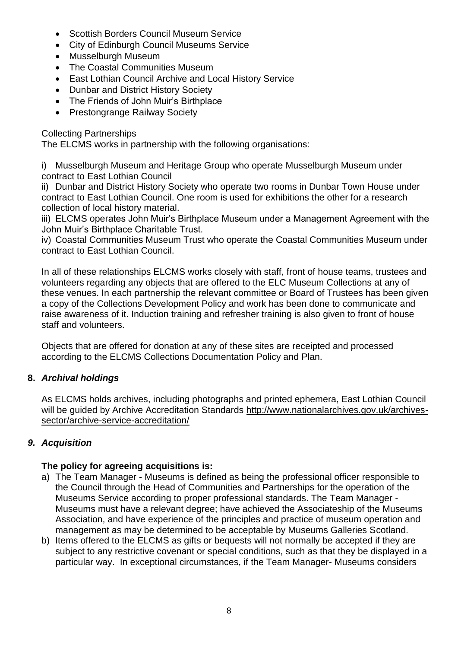- Scottish Borders Council Museum Service
- City of Edinburgh Council Museums Service
- Musselburgh Museum
- The Coastal Communities Museum
- East Lothian Council Archive and Local History Service
- Dunbar and District History Society
- The Friends of John Muir's Birthplace
- Prestongrange Railway Society

# Collecting Partnerships

The ELCMS works in partnership with the following organisations:

i) Musselburgh Museum and Heritage Group who operate Musselburgh Museum under contract to East Lothian Council

ii) Dunbar and District History Society who operate two rooms in Dunbar Town House under contract to East Lothian Council. One room is used for exhibitions the other for a research collection of local history material.

iii) ELCMS operates John Muir's Birthplace Museum under a Management Agreement with the John Muir's Birthplace Charitable Trust.

iv) Coastal Communities Museum Trust who operate the Coastal Communities Museum under contract to East Lothian Council.

In all of these relationships ELCMS works closely with staff, front of house teams, trustees and volunteers regarding any objects that are offered to the ELC Museum Collections at any of these venues. In each partnership the relevant committee or Board of Trustees has been given a copy of the Collections Development Policy and work has been done to communicate and raise awareness of it. Induction training and refresher training is also given to front of house staff and volunteers.

Objects that are offered for donation at any of these sites are receipted and processed according to the ELCMS Collections Documentation Policy and Plan.

# <span id="page-7-0"></span>**8.** *Archival holdings*

As ELCMS holds archives, including photographs and printed ephemera, East Lothian Council will be quided by Archive Accreditation Standards [http://www.nationalarchives.gov.uk/archives](http://www.nationalarchives.gov.uk/archives-sector/archive-service-accreditation/)[sector/archive-service-accreditation/](http://www.nationalarchives.gov.uk/archives-sector/archive-service-accreditation/)

# <span id="page-7-1"></span>*9. Acquisition*

# **The policy for agreeing acquisitions is:**

- a) The Team Manager Museums is defined as being the professional officer responsible to the Council through the Head of Communities and Partnerships for the operation of the Museums Service according to proper professional standards. The Team Manager - Museums must have a relevant degree; have achieved the Associateship of the Museums Association, and have experience of the principles and practice of museum operation and management as may be determined to be acceptable by Museums Galleries Scotland.
- b) Items offered to the ELCMS as gifts or bequests will not normally be accepted if they are subject to any restrictive covenant or special conditions, such as that they be displayed in a particular way. In exceptional circumstances, if the Team Manager- Museums considers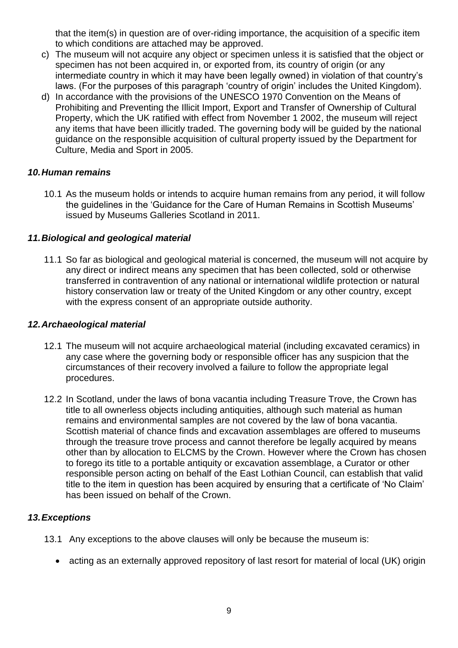that the item(s) in question are of over-riding importance, the acquisition of a specific item to which conditions are attached may be approved.

- c) The museum will not acquire any object or specimen unless it is satisfied that the object or specimen has not been acquired in, or exported from, its country of origin (or any intermediate country in which it may have been legally owned) in violation of that country's laws. (For the purposes of this paragraph 'country of origin' includes the United Kingdom).
- d) In accordance with the provisions of the UNESCO 1970 Convention on the Means of Prohibiting and Preventing the Illicit Import, Export and Transfer of Ownership of Cultural Property, which the UK ratified with effect from November 1 2002, the museum will reject any items that have been illicitly traded. The governing body will be guided by the national guidance on the responsible acquisition of cultural property issued by the Department for Culture, Media and Sport in 2005.

### <span id="page-8-0"></span>*10.Human remains*

10.1 As the museum holds or intends to acquire human remains from any period, it will follow the guidelines in the 'Guidance for the Care of Human Remains in Scottish Museums' issued by Museums Galleries Scotland in 2011.

### <span id="page-8-1"></span>*11.Biological and geological material*

11.1 So far as biological and geological material is concerned, the museum will not acquire by any direct or indirect means any specimen that has been collected, sold or otherwise transferred in contravention of any national or international wildlife protection or natural history conservation law or treaty of the United Kingdom or any other country, except with the express consent of an appropriate outside authority.

#### <span id="page-8-2"></span>*12.Archaeological material*

- 12.1 The museum will not acquire archaeological material (including excavated ceramics) in any case where the governing body or responsible officer has any suspicion that the circumstances of their recovery involved a failure to follow the appropriate legal procedures.
- 12.2 In Scotland, under the laws of bona vacantia including Treasure Trove, the Crown has title to all ownerless objects including antiquities, although such material as human remains and environmental samples are not covered by the law of bona vacantia. Scottish material of chance finds and excavation assemblages are offered to museums through the treasure trove process and cannot therefore be legally acquired by means other than by allocation to ELCMS by the Crown. However where the Crown has chosen to forego its title to a portable antiquity or excavation assemblage, a Curator or other responsible person acting on behalf of the East Lothian Council, can establish that valid title to the item in question has been acquired by ensuring that a certificate of 'No Claim' has been issued on behalf of the Crown.

#### <span id="page-8-3"></span>*13.Exceptions*

- 13.1 Any exceptions to the above clauses will only be because the museum is:
	- acting as an externally approved repository of last resort for material of local (UK) origin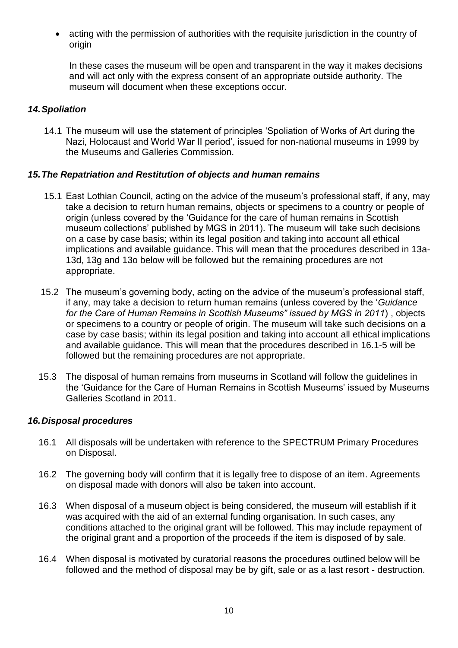acting with the permission of authorities with the requisite jurisdiction in the country of origin

In these cases the museum will be open and transparent in the way it makes decisions and will act only with the express consent of an appropriate outside authority. The museum will document when these exceptions occur.

### <span id="page-9-0"></span>*14.Spoliation*

14.1 The museum will use the statement of principles 'Spoliation of Works of Art during the Nazi, Holocaust and World War II period', issued for non-national museums in 1999 by the Museums and Galleries Commission.

### <span id="page-9-1"></span>*15.The Repatriation and Restitution of objects and human remains*

- 15.1 East Lothian Council, acting on the advice of the museum's professional staff, if any, may take a decision to return human remains, objects or specimens to a country or people of origin (unless covered by the 'Guidance for the care of human remains in Scottish museum collections' published by MGS in 2011). The museum will take such decisions on a case by case basis; within its legal position and taking into account all ethical implications and available guidance. This will mean that the procedures described in 13a-13d, 13g and 13o below will be followed but the remaining procedures are not appropriate.
- 15.2 The museum's governing body, acting on the advice of the museum's professional staff, if any, may take a decision to return human remains (unless covered by the '*Guidance for the Care of Human Remains in Scottish Museums" issued by MGS in 2011*) , objects or specimens to a country or people of origin. The museum will take such decisions on a case by case basis; within its legal position and taking into account all ethical implications and available guidance. This will mean that the procedures described in 16.1-5 will be followed but the remaining procedures are not appropriate.
- 15.3 The disposal of human remains from museums in Scotland will follow the guidelines in the 'Guidance for the Care of Human Remains in Scottish Museums' issued by Museums Galleries Scotland in 2011.

# <span id="page-9-2"></span>*16.Disposal procedures*

- 16.1 All disposals will be undertaken with reference to the SPECTRUM Primary Procedures on Disposal.
- 16.2 The governing body will confirm that it is legally free to dispose of an item. Agreements on disposal made with donors will also be taken into account.
- 16.3 When disposal of a museum object is being considered, the museum will establish if it was acquired with the aid of an external funding organisation. In such cases, any conditions attached to the original grant will be followed. This may include repayment of the original grant and a proportion of the proceeds if the item is disposed of by sale.
- 16.4 When disposal is motivated by curatorial reasons the procedures outlined below will be followed and the method of disposal may be by gift, sale or as a last resort - destruction.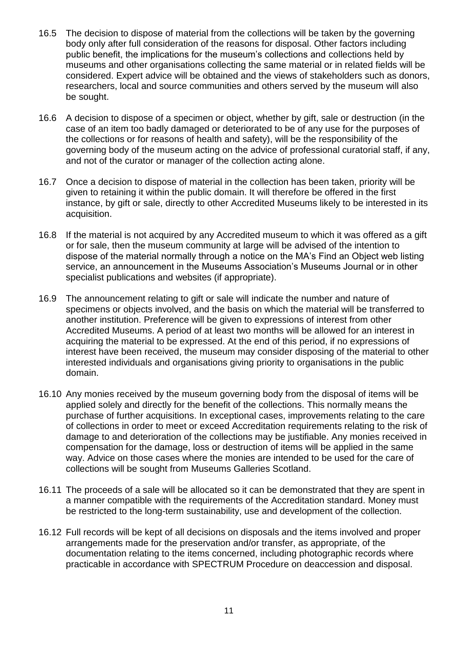- 16.5 The decision to dispose of material from the collections will be taken by the governing body only after full consideration of the reasons for disposal. Other factors including public benefit, the implications for the museum's collections and collections held by museums and other organisations collecting the same material or in related fields will be considered. Expert advice will be obtained and the views of stakeholders such as donors, researchers, local and source communities and others served by the museum will also be sought.
- 16.6 A decision to dispose of a specimen or object, whether by gift, sale or destruction (in the case of an item too badly damaged or deteriorated to be of any use for the purposes of the collections or for reasons of health and safety), will be the responsibility of the governing body of the museum acting on the advice of professional curatorial staff, if any, and not of the curator or manager of the collection acting alone.
- 16.7 Once a decision to dispose of material in the collection has been taken, priority will be given to retaining it within the public domain. It will therefore be offered in the first instance, by gift or sale, directly to other Accredited Museums likely to be interested in its acquisition.
- 16.8 If the material is not acquired by any Accredited museum to which it was offered as a gift or for sale, then the museum community at large will be advised of the intention to dispose of the material normally through a notice on the MA's Find an Object web listing service, an announcement in the Museums Association's Museums Journal or in other specialist publications and websites (if appropriate).
- 16.9 The announcement relating to gift or sale will indicate the number and nature of specimens or objects involved, and the basis on which the material will be transferred to another institution. Preference will be given to expressions of interest from other Accredited Museums. A period of at least two months will be allowed for an interest in acquiring the material to be expressed. At the end of this period, if no expressions of interest have been received, the museum may consider disposing of the material to other interested individuals and organisations giving priority to organisations in the public domain.
- 16.10 Any monies received by the museum governing body from the disposal of items will be applied solely and directly for the benefit of the collections. This normally means the purchase of further acquisitions. In exceptional cases, improvements relating to the care of collections in order to meet or exceed Accreditation requirements relating to the risk of damage to and deterioration of the collections may be justifiable. Any monies received in compensation for the damage, loss or destruction of items will be applied in the same way. Advice on those cases where the monies are intended to be used for the care of collections will be sought from Museums Galleries Scotland.
- 16.11 The proceeds of a sale will be allocated so it can be demonstrated that they are spent in a manner compatible with the requirements of the Accreditation standard. Money must be restricted to the long-term sustainability, use and development of the collection.
- 16.12 Full records will be kept of all decisions on disposals and the items involved and proper arrangements made for the preservation and/or transfer, as appropriate, of the documentation relating to the items concerned, including photographic records where practicable in accordance with SPECTRUM Procedure on deaccession and disposal.